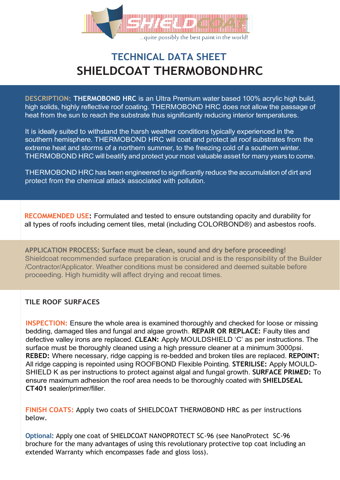

# **TECHNICAL DATA SHEET SHIELDCOAT THERMOBONDHRC**

**DESCRIPTION: THERMOBOND HRC** is an Ultra Premium water based 100% acrylic high build, high solids, highly reflective roof coating. THERMOBOND HRC does not allow the passage of heat from the sun to reach the substrate thus significantly reducing interior temperatures.

It is ideally suited to withstand the harsh weather conditions typically experienced in the southern hemisphere. THERMOBOND HRC will coat and protect all roof substrates from the extreme heat and storms of a northern summer, to the freezing cold of a southern winter. THERMOBOND HRC will beatify and protect your most valuable asset for many years to come.

THERMOBOND HRC has been engineered to significantly reduce the accumulation of dirt and protect from the chemical attack associated with pollution.

**RECOMMENDED USE:** Formulated and tested to ensure outstanding opacity and durability for all types of roofs including cement tiles, metal (including COLORBOND®) and asbestos roofs.

**APPLICATION PROCESS: Surface must be clean, sound and dry before proceeding!** Shieldcoat recommended surface preparation is crucial and is the responsibility of the Builder /Contractor/Applicator. Weather conditions must be considered and deemed suitable before proceeding. High humidity will affect drying and recoat times.

### **TILE ROOF SURFACES**

**INSPECTION:** Ensure the whole area is examined thoroughly and checked for loose or missing bedding, damaged tiles and fungal and algae growth. **REPAIR OR REPLACE:** Faulty tiles and defective valley irons are replaced. **CLEAN:** Apply MOULDSHIELD 'C' as per instructions. The surface must be thoroughly cleaned using a high pressure cleaner at a minimum 3000psi. **REBED:** Where necessary, ridge capping is re-bedded and broken tiles are replaced. **REPOINT:**  All ridge capping is repointed using ROOFBOND Flexible Pointing. **STERILISE:** Apply MOULD-SHIELD K as per instructions to protect against algal and fungal growth. **SURFACE PRIMED:** To ensure maximum adhesion the roof area needs to be thoroughly coated with **SHIELDSEAL CT401** sealer/primer/filler.

**FINISH COATS:** Apply two coats of SHIELDCOAT THERMOBOND HRC as per instructions below.

**Optional:** Apply one coat of SHIELDCOAT NANOPROTECT SC-96 (see NanoProtect SC-96 brochure for the many advantages of using this revolutionary protective top coat including an extended Warranty which encompasses fade and gloss loss).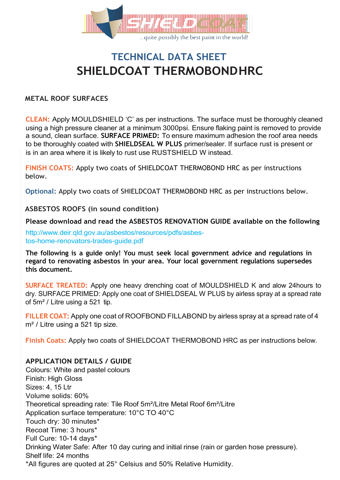

# **TECHNICAL DATA SHEET SHIELDCOAT THERMOBONDHRC**

#### **METAL ROOF SURFACES**

**CLEAN:** Apply MOULDSHIELD 'C' as per instructions. The surface must be thoroughly cleaned using a high pressure cleaner at a minimum 3000psi. Ensure flaking paint is removed to provide a sound, clean surface. **SURFACE PRIMED:** To ensure maximum adhesion the roof area needs to be thoroughly coated with **SHIELDSEAL W PLUS** primer/sealer. If surface rust is present or is in an area where it is likely to rust use RUSTSHIELD W instead.

**FINISH COATS:** Apply two coats of SHIELDCOAT THERMOBOND HRC as per instructions below.

**Optional:** Apply two coats of SHIELDCOAT THERMOBOND HRC as per instructions below.

**ASBESTOS ROOFS (in sound condition)**

**Please download and read the ASBESTOS RENOVATION GUIDE available on the following**

[http://www.deir.qld.gov.au/asbestos/resources/pdfs/asbes](http://www.deir.qld.gov.au/asbestos/resources/pdfs/asbes-)tos-home-renovators-trades-guide.pdf

**The following is a guide only! You must seek local government advice and regulations in regard to renovating asbestos in your area. Your local government regulations supersedes this document.**

**SURFACE TREATED:** Apply one heavy drenching coat of MOULDSHIELD K and alow 24hours to dry. SURFACE PRIMED: Apply one coat of SHIELDSEAL W PLUS by airless spray at a spread rate of 5m² / Litre using a 521 tip.

**FILLER COAT:** Apply one coat of ROOFBOND FILLABOND by airless spray at a spread rate of 4 m<sup>2</sup> / Litre using a 521 tip size.

**Finish Coats:** Apply two coats of SHIELDCOAT THERMOBOND HRC as per instructions below.

#### **APPLICATION DETAILS / GUIDE**

Colours: White and pastel colours Finish: High Gloss Sizes: 4, 15 Ltr Volume solids: 60% Theoretical spreading rate: Tile Roof 5m²/Litre Metal Roof 6m²/Litre Application surface temperature: 10°C TO 40°C Touch dry: 30 minutes\* Recoat Time: 3 hours\* Full Cure: 10-14 days\* Drinking Water Safe: After 10 day curing and initial rinse (rain or garden hose pressure). Shelf life: 24 months \*All figures are quoted at 25° Celsius and 50% Relative Humidity.